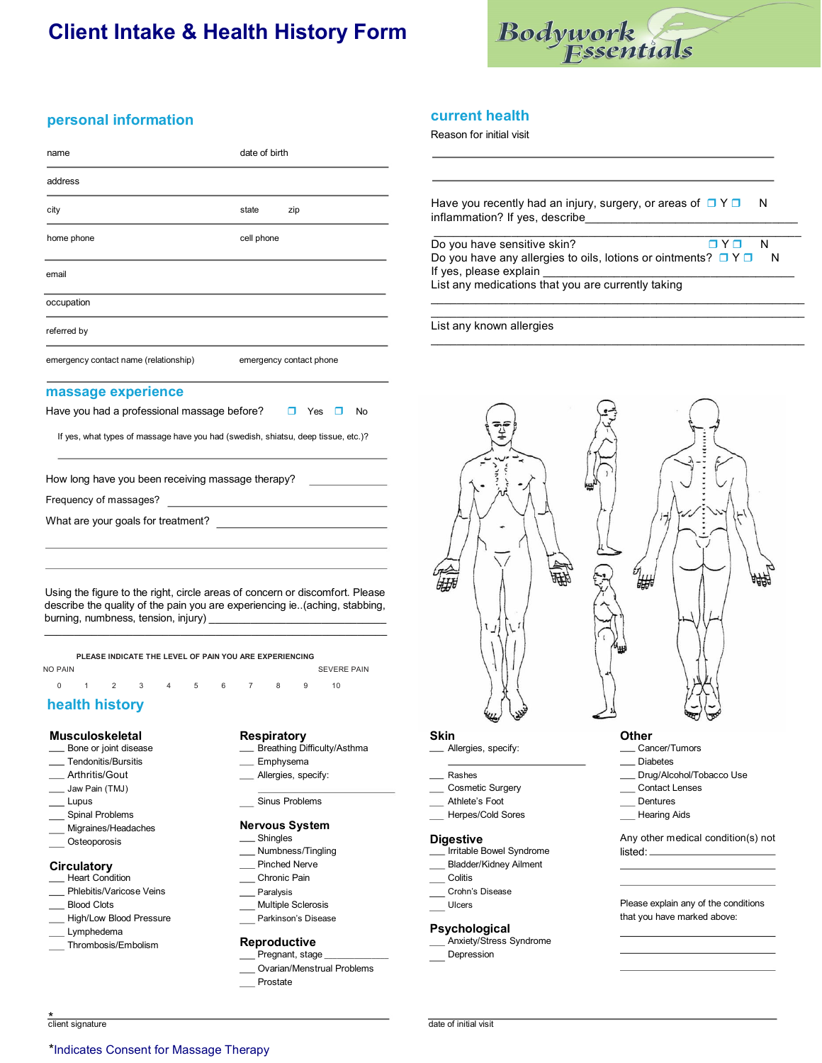# **Client Intake & Health History Form**



# **personal information**

| name                                                                                                                                                                                                |            | date of birth           |  |  |  |  |
|-----------------------------------------------------------------------------------------------------------------------------------------------------------------------------------------------------|------------|-------------------------|--|--|--|--|
| address                                                                                                                                                                                             |            |                         |  |  |  |  |
| city                                                                                                                                                                                                | state      | zip                     |  |  |  |  |
| home phone                                                                                                                                                                                          | cell phone |                         |  |  |  |  |
| email                                                                                                                                                                                               |            |                         |  |  |  |  |
| occupation                                                                                                                                                                                          |            |                         |  |  |  |  |
| referred by                                                                                                                                                                                         |            |                         |  |  |  |  |
| emergency contact name (relationship)                                                                                                                                                               |            | emergency contact phone |  |  |  |  |
| massage experience                                                                                                                                                                                  |            |                         |  |  |  |  |
| Have you had a professional massage before?                                                                                                                                                         |            | Yes<br>No               |  |  |  |  |
| If yes, what types of massage have you had (swedish, shiatsu, deep tissue, etc.)?                                                                                                                   |            |                         |  |  |  |  |
| How long have you been receiving massage therapy?                                                                                                                                                   |            |                         |  |  |  |  |
| Frequency of massages?                                                                                                                                                                              |            |                         |  |  |  |  |
| What are your goals for treatment?                                                                                                                                                                  |            |                         |  |  |  |  |
|                                                                                                                                                                                                     |            |                         |  |  |  |  |
| Using the figure to the right, circle areas of concern or discomfort. Please<br>describe the quality of the pain you are experiencing ie. (aching, stabbing,<br>burning, numbness, tension, injury) |            |                         |  |  |  |  |
| PLEASE INDICATE THE LEVEL OF PAIN YOU ARE EXPERIENCING                                                                                                                                              |            |                         |  |  |  |  |

| NO PAIN             |  |  |  |  | <b>SEVERE PAIN</b> |  |
|---------------------|--|--|--|--|--------------------|--|
| 0 1 2 3 4 5 6 7 8 9 |  |  |  |  |                    |  |

# **health history**

#### **Musculoskeletal**

- Bone or joint disease
- Tendonitis/Bursitis
- \_\_ Arthritis/Gout
- Jaw Pain (TMJ) Lupus
- 
- Spinal Problems Migraines/Headaches
- 
- \_\_ Osteoporosis

### **Circulatory**

- Heart Condition Phlebitis/Varicose Veins
- Blood Clots
- High/Low Blood Pressure
- Lymphedema
- Thrombosis/Embolism
- 

#### **Respiratory**

- Breathing Difficulty/Asthma
- \_ Emphysema
- Allergies, specify:
- Sinus Problems
- 

#### **Nervous System Shingles**

- Numbness/Tingling
- Pinched Nerve
- Chronic Pain
- Paralysis
- Multiple Sclerosis
- Parkinson's Disease

### **Reproductive**

- Pregnant, stage \_\_\_\_\_\_\_\_\_\_\_\_\_\_\_ Ovarian/Menstrual Problems
- 
- Prostate

# **current health**

Reason for initial visit

Have you recently had an injury, surgery, or areas of  $\Box Y \Box$  N inflammation? If yes, describe

Do you have sensitive skin?  $\Box Y \Box N$ Do you have any allergies to oils, lotions or ointments?  $\Box Y \Box$  N If yes, please explain List any medications that you are currently taking \_\_\_\_\_\_\_\_\_\_\_\_\_\_\_\_\_\_\_\_\_\_\_\_\_\_\_\_\_\_\_\_\_\_\_\_\_\_\_\_\_\_\_\_\_\_\_\_\_\_\_\_\_\_\_\_\_\_

\_\_\_\_\_\_\_\_\_\_\_\_\_\_\_\_\_\_\_\_\_\_\_\_\_\_\_\_\_\_\_\_\_\_\_\_\_\_\_\_\_\_\_\_\_\_\_\_\_\_\_\_\_\_\_\_\_

\_\_\_\_\_\_\_\_\_\_\_\_\_\_\_\_\_\_\_\_\_\_\_\_\_\_\_\_\_\_\_\_\_\_\_\_\_\_\_\_\_\_\_\_\_\_\_\_\_\_\_\_\_\_\_\_\_\_

\_\_\_\_\_\_\_\_\_\_\_\_\_\_\_\_\_\_\_\_\_\_\_\_\_\_\_\_\_\_\_\_\_\_\_\_\_\_\_\_\_\_\_\_\_\_\_\_\_\_\_\_\_\_\_\_\_\_

#### List any known allergies



- Cancer/Tumors
- \_\_\_ Diabetes
- \_\_ Drug/Alcohol/Tobacco Use
- Contact Lenses
- Dentures
- **Hearing Aids**

Any other medical condition(s) not listed:

Please explain any of the conditions that you have marked above:

\* client signature date of initial visit

# \_ Allergies, specify:

- Rashes Cosmetic Surgery
- Athlete's Foot
- Herpes/Cold Sores
- 

## **Digestive**

- Irritable Bowel Syndrome
- Bladder/Kidney Ailment
- Colitis Crohn's Disease
- Ulcers

# **Psychological**

- Anxiety/Stress Syndrome
- Depression